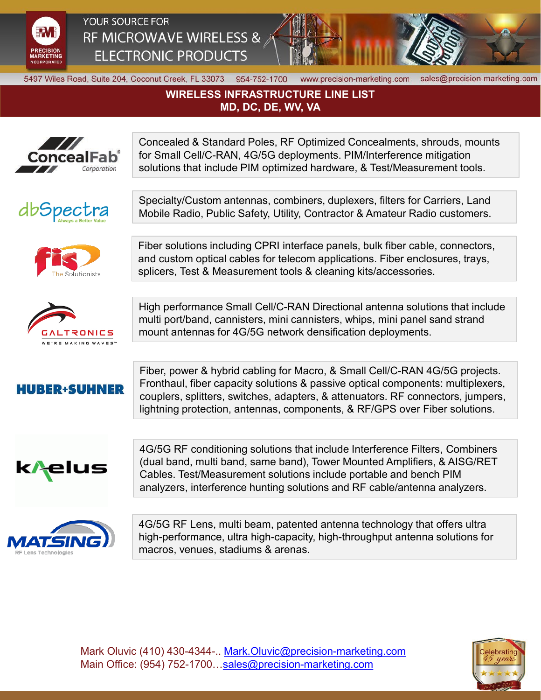

YOUR SOURCE FOR RF MICROWAVE WIRELESS & **ELECTRONIC PRODUCTS** 



5497 Wiles Road, Suite 204, Coconut Creek, FL 33073 954-752-1700

www.precision-marketing.com sales@precision-marketing.com

## **WIRELESS INFRASTRUCTURE LINE LIST MD, DC, DE, WV, VA**